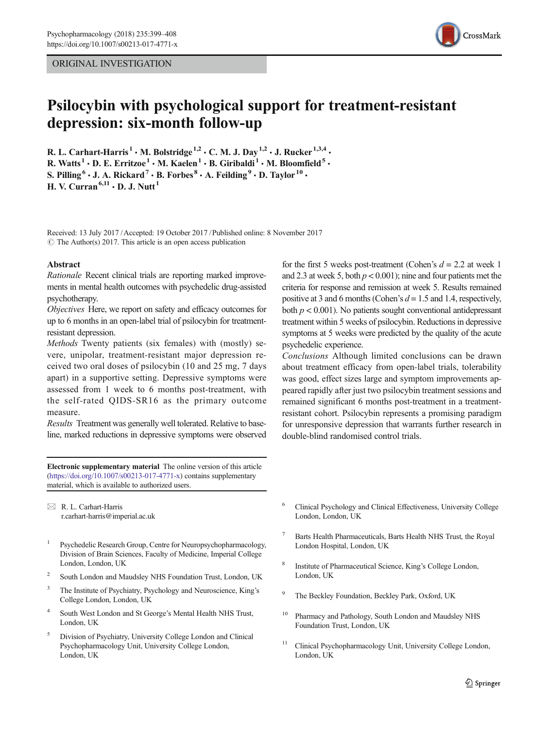## ORIGINAL INVESTIGATION



# Psilocybin with psychological support for treatment-resistant depression: six-month follow-up

R. L. Carhart-Harris<sup>1</sup>  $\cdot$  M. Bolstridge<sup>1,2</sup>  $\cdot$  C. M. J. Day<sup>1,2</sup>  $\cdot$  J. Rucker<sup>1,3,4</sup>  $\cdot$ R. Watts<sup>1</sup>  $\cdot$  D. E. Erritzoe<sup>1</sup>  $\cdot$  M. Kaelen<sup>1</sup>  $\cdot$  B. Giribaldi<sup>1</sup>  $\cdot$  M. Bloomfield<sup>5</sup>  $\cdot$ S. Pilling<sup>6</sup>  $\cdot$  J. A. Rickard<sup>7</sup>  $\cdot$  B. Forbes<sup>8</sup>  $\cdot$  A. Feilding<sup>9</sup>  $\cdot$  D. Taylor<sup>10</sup>  $\cdot$ H. V. Curran<sup>6,11</sup>  $\cdot$  D. J. Nutt<sup>1</sup>

Received: 13 July 2017 /Accepted: 19 October 2017 /Published online: 8 November 2017  $\circ$  The Author(s) 2017. This article is an open access publication

#### Abstract

Rationale Recent clinical trials are reporting marked improvements in mental health outcomes with psychedelic drug-assisted psychotherapy.

Objectives Here, we report on safety and efficacy outcomes for up to 6 months in an open-label trial of psilocybin for treatmentresistant depression.

Methods Twenty patients (six females) with (mostly) severe, unipolar, treatment-resistant major depression received two oral doses of psilocybin (10 and 25 mg, 7 days apart) in a supportive setting. Depressive symptoms were assessed from 1 week to 6 months post-treatment, with the self-rated QIDS-SR16 as the primary outcome measure.

Results Treatment was generally well tolerated. Relative to baseline, marked reductions in depressive symptoms were observed

Electronic supplementary material The online version of this article (<https://doi.org/10.1007/s00213-017-4771-x>) contains supplementary material, which is available to authorized users.

 $\boxtimes$  R. L. Carhart-Harris [r.carhart-harris@imperial.ac.uk](mailto:r.carhartarris@imperial.ac.uk)

- <sup>1</sup> Psychedelic Research Group, Centre for Neuropsychopharmacology, Division of Brain Sciences, Faculty of Medicine, Imperial College London, London, UK
- <sup>2</sup> South London and Maudsley NHS Foundation Trust, London, UK
- <sup>3</sup> The Institute of Psychiatry, Psychology and Neuroscience, King's College London, London, UK
- South West London and St George's Mental Health NHS Trust, London, UK
- <sup>5</sup> Division of Psychiatry, University College London and Clinical Psychopharmacology Unit, University College London, London, UK

for the first 5 weeks post-treatment (Cohen's  $d = 2.2$  at week 1 and 2.3 at week 5, both  $p < 0.001$ ); nine and four patients met the criteria for response and remission at week 5. Results remained positive at 3 and 6 months (Cohen's  $d = 1.5$  and 1.4, respectively, both  $p < 0.001$ ). No patients sought conventional antidepressant treatment within 5 weeks of psilocybin. Reductions in depressive symptoms at 5 weeks were predicted by the quality of the acute psychedelic experience.

Conclusions Although limited conclusions can be drawn about treatment efficacy from open-label trials, tolerability was good, effect sizes large and symptom improvements appeared rapidly after just two psilocybin treatment sessions and remained significant 6 months post-treatment in a treatmentresistant cohort. Psilocybin represents a promising paradigm for unresponsive depression that warrants further research in double-blind randomised control trials.

- <sup>6</sup> Clinical Psychology and Clinical Effectiveness, University College London, London, UK
- <sup>7</sup> Barts Health Pharmaceuticals, Barts Health NHS Trust, the Royal London Hospital, London, UK
- <sup>8</sup> Institute of Pharmaceutical Science, King's College London, London, UK
- <sup>9</sup> The Beckley Foundation, Beckley Park, Oxford, UK
- <sup>10</sup> Pharmacy and Pathology, South London and Maudsley NHS Foundation Trust, London, UK
- Clinical Psychopharmacology Unit, University College London, London, UK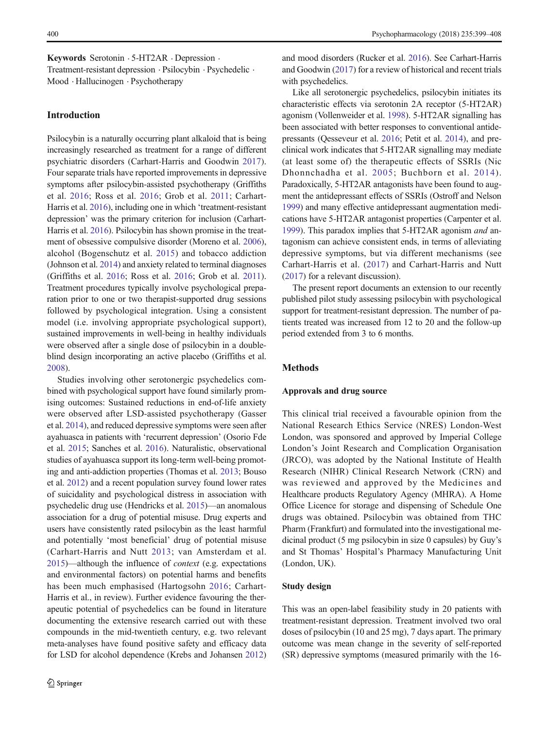Keywords Serotonin . 5-HT2AR . Depression . Treatment-resistant depression . Psilocybin . Psychedelic . Mood . Hallucinogen . Psychotherapy

## Introduction

Psilocybin is a naturally occurring plant alkaloid that is being increasingly researched as treatment for a range of different psychiatric disorders (Carhart-Harris and Goodwin [2017](#page-8-0)). Four separate trials have reported improvements in depressive symptoms after psilocybin-assisted psychotherapy (Griffiths et al. [2016](#page-8-0); Ross et al. [2016](#page-9-0); Grob et al. [2011;](#page-8-0) Carhart-Harris et al. [2016\)](#page-8-0), including one in which 'treatment-resistant depression' was the primary criterion for inclusion (Carhart-Harris et al. [2016\)](#page-8-0). Psilocybin has shown promise in the treatment of obsessive compulsive disorder (Moreno et al. [2006\)](#page-9-0), alcohol (Bogenschutz et al. [2015](#page-8-0)) and tobacco addiction (Johnson et al. [2014\)](#page-9-0) and anxiety related to terminal diagnoses (Griffiths et al. [2016;](#page-8-0) Ross et al. [2016](#page-9-0); Grob et al. [2011](#page-8-0)). Treatment procedures typically involve psychological preparation prior to one or two therapist-supported drug sessions followed by psychological integration. Using a consistent model (i.e. involving appropriate psychological support), sustained improvements in well-being in healthy individuals were observed after a single dose of psilocybin in a doubleblind design incorporating an active placebo (Griffiths et al. [2008\)](#page-8-0).

Studies involving other serotonergic psychedelics combined with psychological support have found similarly promising outcomes: Sustained reductions in end-of-life anxiety were observed after LSD-assisted psychotherapy (Gasser et al. [2014\)](#page-8-0), and reduced depressive symptoms were seen after ayahuasca in patients with 'recurrent depression' (Osorio Fde et al. [2015;](#page-9-0) Sanches et al. [2016\)](#page-9-0). Naturalistic, observational studies of ayahuasca support its long-term well-being promoting and anti-addiction properties (Thomas et al. [2013;](#page-9-0) Bouso et al. [2012](#page-8-0)) and a recent population survey found lower rates of suicidality and psychological distress in association with psychedelic drug use (Hendricks et al. [2015](#page-8-0))—an anomalous association for a drug of potential misuse. Drug experts and users have consistently rated psilocybin as the least harmful and potentially 'most beneficial' drug of potential misuse (Carhart-Harris and Nutt [2013](#page-8-0); van Amsterdam et al. [2015\)](#page-8-0)—although the influence of context (e.g. expectations and environmental factors) on potential harms and benefits has been much emphasised (Hartogsohn [2016](#page-8-0); Carhart-Harris et al., in review). Further evidence favouring the therapeutic potential of psychedelics can be found in literature documenting the extensive research carried out with these compounds in the mid-twentieth century, e.g. two relevant meta-analyses have found positive safety and efficacy data for LSD for alcohol dependence (Krebs and Johansen [2012\)](#page-9-0)

and mood disorders (Rucker et al. [2016\)](#page-9-0). See Carhart-Harris and Goodwin ([2017](#page-8-0)) for a review of historical and recent trials with psychedelics.

Like all serotonergic psychedelics, psilocybin initiates its characteristic effects via serotonin 2A receptor (5-HT2AR) agonism (Vollenweider et al. [1998](#page-9-0)). 5-HT2AR signalling has been associated with better responses to conventional antidepressants (Qesseveur et al. [2016;](#page-9-0) Petit et al. [2014\)](#page-9-0), and preclinical work indicates that 5-HT2AR signalling may mediate (at least some of) the therapeutic effects of SSRIs (Nic Dhonnchadha et al. [2005](#page-9-0); Buchborn et al. [2014\)](#page-8-0). Paradoxically, 5-HT2AR antagonists have been found to augment the antidepressant effects of SSRIs (Ostroff and Nelson [1999\)](#page-9-0) and many effective antidepressant augmentation medications have 5-HT2AR antagonist properties (Carpenter et al. [1999\)](#page-8-0). This paradox implies that 5-HT2AR agonism *and* antagonism can achieve consistent ends, in terms of alleviating depressive symptoms, but via different mechanisms (see Carhart-Harris et al. ([2017](#page-8-0)) and Carhart-Harris and Nutt [\(2017\)](#page-8-0) for a relevant discussion).

The present report documents an extension to our recently published pilot study assessing psilocybin with psychological support for treatment-resistant depression. The number of patients treated was increased from 12 to 20 and the follow-up period extended from 3 to 6 months.

# Methods

## Approvals and drug source

This clinical trial received a favourable opinion from the National Research Ethics Service (NRES) London-West London, was sponsored and approved by Imperial College London's Joint Research and Complication Organisation (JRCO), was adopted by the National Institute of Health Research (NIHR) Clinical Research Network (CRN) and was reviewed and approved by the Medicines and Healthcare products Regulatory Agency (MHRA). A Home Office Licence for storage and dispensing of Schedule One drugs was obtained. Psilocybin was obtained from THC Pharm (Frankfurt) and formulated into the investigational medicinal product (5 mg psilocybin in size 0 capsules) by Guy's and St Thomas' Hospital's Pharmacy Manufacturing Unit (London, UK).

#### Study design

This was an open-label feasibility study in 20 patients with treatment-resistant depression. Treatment involved two oral doses of psilocybin (10 and 25 mg), 7 days apart. The primary outcome was mean change in the severity of self-reported (SR) depressive symptoms (measured primarily with the 16-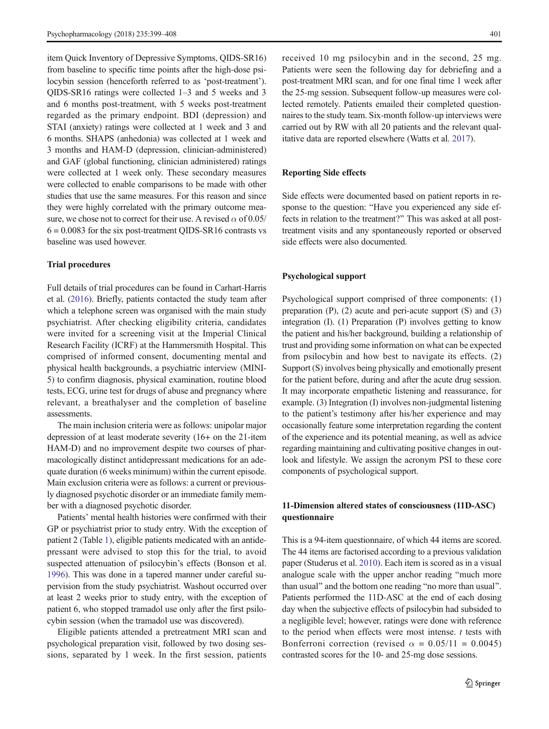item Quick Inventory of Depressive Symptoms, QIDS-SR16) from baseline to specific time points after the high-dose psilocybin session (henceforth referred to as 'post-treatment'). QIDS-SR16 ratings were collected 1–3 and 5 weeks and 3 and 6 months post-treatment, with 5 weeks post-treatment regarded as the primary endpoint. BDI (depression) and STAI (anxiety) ratings were collected at 1 week and 3 and 6 months. SHAPS (anhedonia) was collected at 1 week and 3 months and HAM-D (depression, clinician-administered) and GAF (global functioning, clinician administered) ratings were collected at 1 week only. These secondary measures were collected to enable comparisons to be made with other studies that use the same measures. For this reason and since they were highly correlated with the primary outcome measure, we chose not to correct for their use. A revised  $\alpha$  of 0.05/  $6 = 0.0083$  for the six post-treatment QIDS-SR16 contrasts vs baseline was used however.

## Trial procedures

Full details of trial procedures can be found in Carhart-Harris et al. ([2016](#page-8-0)). Briefly, patients contacted the study team after which a telephone screen was organised with the main study psychiatrist. After checking eligibility criteria, candidates were invited for a screening visit at the Imperial Clinical Research Facility (ICRF) at the Hammersmith Hospital. This comprised of informed consent, documenting mental and physical health backgrounds, a psychiatric interview (MINI-5) to confirm diagnosis, physical examination, routine blood tests, ECG, urine test for drugs of abuse and pregnancy where relevant, a breathalyser and the completion of baseline assessments.

The main inclusion criteria were as follows: unipolar major depression of at least moderate severity (16+ on the 21-item HAM-D) and no improvement despite two courses of pharmacologically distinct antidepressant medications for an adequate duration (6 weeks minimum) within the current episode. Main exclusion criteria were as follows: a current or previously diagnosed psychotic disorder or an immediate family member with a diagnosed psychotic disorder.

Patients' mental health histories were confirmed with their GP or psychiatrist prior to study entry. With the exception of patient 2 (Table [1](#page-3-0)), eligible patients medicated with an antidepressant were advised to stop this for the trial, to avoid suspected attenuation of psilocybin's effects (Bonson et al. [1996\)](#page-8-0). This was done in a tapered manner under careful supervision from the study psychiatrist. Washout occurred over at least 2 weeks prior to study entry, with the exception of patient 6, who stopped tramadol use only after the first psilocybin session (when the tramadol use was discovered).

Eligible patients attended a pretreatment MRI scan and psychological preparation visit, followed by two dosing sessions, separated by 1 week. In the first session, patients received 10 mg psilocybin and in the second, 25 mg. Patients were seen the following day for debriefing and a post-treatment MRI scan, and for one final time 1 week after the 25-mg session. Subsequent follow-up measures were collected remotely. Patients emailed their completed questionnaires to the study team. Six-month follow-up interviews were carried out by RW with all 20 patients and the relevant qualitative data are reported elsewhere (Watts et al. [2017](#page-9-0)).

#### Reporting Side effects

Side effects were documented based on patient reports in response to the question: "Have you experienced any side effects in relation to the treatment?^ This was asked at all posttreatment visits and any spontaneously reported or observed side effects were also documented.

#### Psychological support

Psychological support comprised of three components: (1) preparation (P), (2) acute and peri-acute support (S) and (3) integration (I). (1) Preparation (P) involves getting to know the patient and his/her background, building a relationship of trust and providing some information on what can be expected from psilocybin and how best to navigate its effects. (2) Support (S) involves being physically and emotionally present for the patient before, during and after the acute drug session. It may incorporate empathetic listening and reassurance, for example. (3) Integration (I) involves non-judgmental listening to the patient's testimony after his/her experience and may occasionally feature some interpretation regarding the content of the experience and its potential meaning, as well as advice regarding maintaining and cultivating positive changes in outlook and lifestyle. We assign the acronym PSI to these core components of psychological support.

# 11-Dimension altered states of consciousness (11D-ASC) questionnaire

This is a 94-item questionnaire, of which 44 items are scored. The 44 items are factorised according to a previous validation paper (Studerus et al. [2010](#page-9-0)). Each item is scored as in a visual analogue scale with the upper anchor reading "much more than usual" and the bottom one reading "no more than usual". Patients performed the 11D-ASC at the end of each dosing day when the subjective effects of psilocybin had subsided to a negligible level; however, ratings were done with reference to the period when effects were most intense.  $t$  tests with Bonferroni correction (revised  $\alpha = 0.05/11 = 0.0045$ ) contrasted scores for the 10- and 25-mg dose sessions.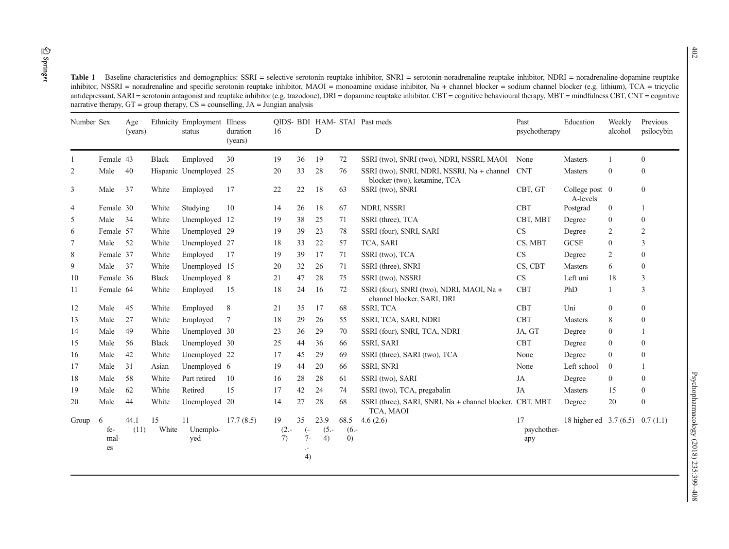<span id="page-3-0"></span>

| Table 1 Baseline characteristics and demographics: SSRI = selective serotonin reuptake inhibitor, SNRI = serotonin-noradrenaline reuptake inhibitor, NDRI = noradrenaline-dopamine reuptake         |
|-----------------------------------------------------------------------------------------------------------------------------------------------------------------------------------------------------|
| inhibitor, NSSRI = noradrenaline and specific serotonin reuptake inhibitor, MAOI = monoamine oxidase inhibitor, Na + channel blocker = sodium channel blocker (e.g. lithium), TCA = tricyclic       |
| antidepressant, SARI = serotonin antagonist and reuptake inhibitor (e.g. trazodone), DRI = dopamine reuptake inhibitor. CBT = cognitive behavioural therapy, MBT = mindfulness CBT, CNT = cognitive |
| narrative therapy, $GT =$ group therapy, $CS =$ counselling, $JA =$ Jungian analysis                                                                                                                |

| Number Sex |            | Age<br>(years) |              | Ethnicity Employment Illness<br>status | duration<br>(years) | 16      |                    | D       |         | QIDS- BDI HAM- STAI Past meds                                               | Past<br>psychotherapy | Education                        | Weekly<br>alcohol | Previous<br>psilocybin |
|------------|------------|----------------|--------------|----------------------------------------|---------------------|---------|--------------------|---------|---------|-----------------------------------------------------------------------------|-----------------------|----------------------------------|-------------------|------------------------|
|            | Female 43  |                | <b>Black</b> | Employed                               | 30                  | 19      | 36                 | 19      | 72      | SSRI (two), SNRI (two), NDRI, NSSRI, MAOI                                   | None                  | Masters                          | $\mathbf{1}$      | $\mathbf{0}$           |
| 2          | Male       | 40             |              | Hispanic Unemployed 25                 |                     | 20      | 33                 | 28      | 76      | SSRI (two), SNRI, NDRI, NSSRI, Na + channel<br>blocker (two), ketamine, TCA | <b>CNT</b>            | <b>Masters</b>                   | $\boldsymbol{0}$  | $\boldsymbol{0}$       |
| 3          | Male       | 37             | White        | Employed                               | 17                  | 22      | 22                 | 18      | 63      | SSRI (two), SNRI                                                            | CBT, GT               | College post 0<br>A-levels       |                   | $\boldsymbol{0}$       |
| 4          | Female 30  |                | White        | Studying                               | 10                  | 14      | 26                 | 18      | 67      | NDRI, NSSRI                                                                 | <b>CBT</b>            | Postgrad                         | $\boldsymbol{0}$  | 1                      |
| 5          | Male       | 34             | White        | Unemployed 12                          |                     | 19      | 38                 | 25      | 71      | SSRI (three), TCA                                                           | CBT, MBT              | Degree                           | $\overline{0}$    | $\mathbf{0}$           |
| 6          | Female 57  |                | White        | Unemployed 29                          |                     | 19      | 39                 | 23      | 78      | SSRI (four), SNRI, SARI                                                     | <b>CS</b>             | Degree                           | 2                 | 2                      |
|            | Male       | 52             | White        | Unemployed 27                          |                     | 18      | 33                 | 22      | 57      | TCA, SARI                                                                   | CS, MBT               | <b>GCSE</b>                      | $\mathbf{0}$      | 3                      |
| 8          | Female 37  |                | White        | Employed                               | 17                  | 19      | 39                 | 17      | 71      | SSRI (two), TCA                                                             | CS                    | Degree                           | 2                 | $\boldsymbol{0}$       |
| 9          | Male       | 37             | White        | Unemployed 15                          |                     | 20      | 32                 | 26      | 71      | SSRI (three), SNRI                                                          | CS, CBT               | Masters                          | 6                 | $\boldsymbol{0}$       |
| 10         | Female 36  |                | <b>Black</b> | Unemployed 8                           |                     | 21      | 47                 | 28      | 75      | SSRI (two), NSSRI                                                           | CS                    | Left uni                         | 18                | 3                      |
| 11         | Female 64  |                | White        | Employed                               | 15                  | 18      | 24                 | 16      | 72      | SSRI (four), SNRI (two), NDRI, MAOI, Na +<br>channel blocker, SARI, DRI     | <b>CBT</b>            | PhD                              | $\mathbf{1}$      | 3                      |
| 12         | Male       | 45             | White        | Employed                               | 8                   | 21      | 35                 | 17      | 68      | SSRI, TCA                                                                   | <b>CBT</b>            | Uni                              | $\mathbf{0}$      | $\mathbf{0}$           |
| 13         | Male       | 27             | White        | Employed                               | 7                   | 18      | 29                 | 26      | 55      | SSRI, TCA, SARI, NDRI                                                       | <b>CBT</b>            | <b>Masters</b>                   | 8                 | $\mathbf{0}$           |
| 14         | Male       | 49             | White        | Unemployed 30                          |                     | 23      | 36                 | 29      | 70      | SSRI (four), SNRI, TCA, NDRI                                                | JA, GT                | Degree                           | $\mathbf{0}$      | 1                      |
| 15         | Male       | 56             | <b>Black</b> | Unemployed 30                          |                     | 25      | 44                 | 36      | 66      | <b>SSRI, SARI</b>                                                           | <b>CBT</b>            | Degree                           | $\boldsymbol{0}$  | $\boldsymbol{0}$       |
| 16         | Male       | 42             | White        | Unemployed 22                          |                     | 17      | 45                 | 29      | 69      | SSRI (three), SARI (two), TCA                                               | None                  | Degree                           | $\boldsymbol{0}$  | $\boldsymbol{0}$       |
| 17         | Male       | 31             | Asian        | Unemployed 6                           |                     | 19      | 44                 | 20      | 66      | SSRI, SNRI                                                                  | None                  | Left school                      | $\boldsymbol{0}$  |                        |
| 18         | Male       | 58             | White        | Part retired                           | 10                  | 16      | 28                 | 28      | 61      | SSRI (two), SARI                                                            | JA                    | Degree                           | $\mathbf{0}$      | $\mathbf{0}$           |
| 19         | Male       | 62             | White        | Retired                                | 15                  | 17      | 42                 | 24      | 74      | SSRI (two), TCA, pregabalin                                                 | JA                    | <b>Masters</b>                   | 15                | $\mathbf{0}$           |
| 20         | Male       | 44             | White        | Unemployed 20                          |                     | 14      | 27                 | 28      | 68      | SSRI (three), SARI, SNRI, Na + channel blocker, CBT, MBT<br>TCA, MAOI       |                       | Degree                           | 20                | $\mathbf{0}$           |
| Group      | 6          | 44.1           | 15           | 11                                     | 17.7(8.5)           | 19      | 35                 | 23.9    | 68.5    | 4.6(2.6)                                                                    | 17                    | 18 higher ed 3.7 (6.5) 0.7 (1.1) |                   |                        |
|            | fe-        | (11)           | White        | Unemplo-                               |                     | $(2,-)$ | $(-$               | $(5. -$ | $(6. -$ |                                                                             | psychother-           |                                  |                   |                        |
|            | mal-<br>es |                |              | yed                                    |                     | 7)      | $7 -$<br>$\cdot$ - | 4)      | (0)     |                                                                             | apy                   |                                  |                   |                        |
|            |            |                |              |                                        |                     |         | 4)                 |         |         |                                                                             |                       |                                  |                   |                        |
|            |            |                |              |                                        |                     |         |                    |         |         |                                                                             |                       |                                  |                   |                        |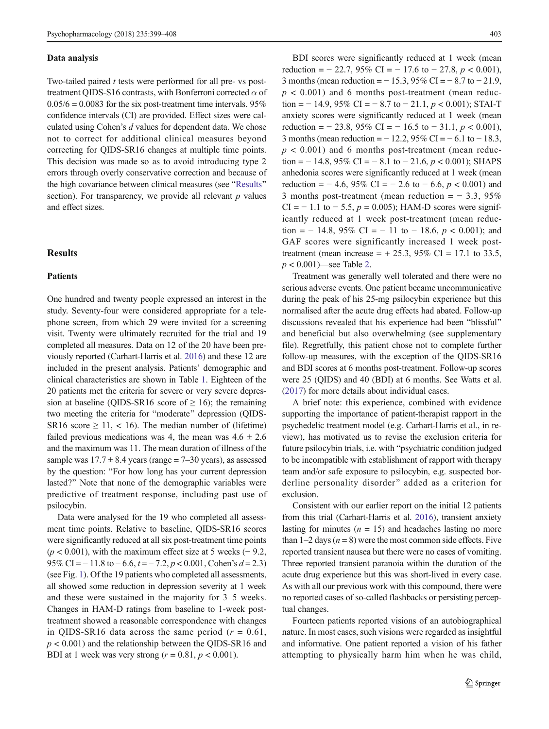#### <span id="page-4-0"></span>Data analysis

Two-tailed paired t tests were performed for all pre- vs posttreatment OIDS-S16 contrasts, with Bonferroni corrected  $\alpha$  of  $0.05/6 = 0.0083$  for the six post-treatment time intervals. 95% confidence intervals (CI) are provided. Effect sizes were calculated using Cohen's d values for dependent data. We chose not to correct for additional clinical measures beyond correcting for QIDS-SR16 changes at multiple time points. This decision was made so as to avoid introducing type 2 errors through overly conservative correction and because of the high covariance between clinical measures (see "Results" section). For transparency, we provide all relevant  $p$  values and effect sizes.

# Results

## Patients

One hundred and twenty people expressed an interest in the study. Seventy-four were considered appropriate for a telephone screen, from which 29 were invited for a screening visit. Twenty were ultimately recruited for the trial and 19 completed all measures. Data on 12 of the 20 have been previously reported (Carhart-Harris et al. [2016\)](#page-8-0) and these 12 are included in the present analysis. Patients' demographic and clinical characteristics are shown in Table [1](#page-3-0). Eighteen of the 20 patients met the criteria for severe or very severe depression at baseline (QIDS-SR16 score of  $\geq$  16); the remaining two meeting the criteria for "moderate" depression (QIDS-SR16 score  $\geq$  11, < 16). The median number of (lifetime) failed previous medications was 4, the mean was  $4.6 \pm 2.6$ and the maximum was 11. The mean duration of illness of the sample was  $17.7 \pm 8.4$  years (range = 7–30 years), as assessed by the question: "For how long has your current depression lasted?" Note that none of the demographic variables were predictive of treatment response, including past use of psilocybin.

Data were analysed for the 19 who completed all assessment time points. Relative to baseline, QIDS-SR16 scores were significantly reduced at all six post-treatment time points  $(p < 0.001)$ , with the maximum effect size at 5 weeks  $(-9.2, ...)$ 95% CI =  $-11.8$  to  $-6.6$ ,  $t = -7.2$ ,  $p < 0.001$ , Cohen's  $d = 2.3$ ) (see Fig. [1\)](#page-5-0). Of the 19 patients who completed all assessments, all showed some reduction in depression severity at 1 week and these were sustained in the majority for 3–5 weeks. Changes in HAM-D ratings from baseline to 1-week posttreatment showed a reasonable correspondence with changes in QIDS-SR16 data across the same period ( $r = 0.61$ ,  $p < 0.001$ ) and the relationship between the QIDS-SR16 and BDI at 1 week was very strong ( $r = 0.81$ ,  $p < 0.001$ ).

BDI scores were significantly reduced at 1 week (mean reduction =  $-22.7$ , 95% CI =  $-17.6$  to  $-27.8$ ,  $p < 0.001$ ), 3 months (mean reduction =  $-15.3$ , 95% CI =  $-8.7$  to  $-21.9$ ,  $p < 0.001$ ) and 6 months post-treatment (mean reduction =  $-14.9$ , 95% CI =  $-8.7$  to  $-21.1$ ,  $p < 0.001$ ); STAI-T anxiety scores were significantly reduced at 1 week (mean reduction =  $-23.8$ , 95% CI =  $-16.5$  to  $-31.1$ ,  $p < 0.001$ ), 3 months (mean reduction =  $-12.2$ , 95% CI =  $-6.1$  to  $-18.3$ ,  $p < 0.001$ ) and 6 months post-treatment (mean reduction =  $-14.8$ , 95% CI =  $-8.1$  to  $-21.6$ ,  $p < 0.001$ ); SHAPS anhedonia scores were significantly reduced at 1 week (mean reduction =  $-4.6$ , 95% CI =  $-2.6$  to  $-6.6$ ,  $p < 0.001$ ) and 3 months post-treatment (mean reduction  $=$  - 3.3, 95%  $CI = -1.1$  to  $-5.5$ ,  $p = 0.005$ ); HAM-D scores were significantly reduced at 1 week post-treatment (mean reduction =  $-14.8$ , 95% CI =  $-11$  to  $-18.6$ ,  $p < 0.001$ ); and GAF scores were significantly increased 1 week posttreatment (mean increase =  $+ 25.3$ , 95% CI = 17.1 to 33.5,  $p < 0.001$  —see Table [2.](#page-6-0)

Treatment was generally well tolerated and there were no serious adverse events. One patient became uncommunicative during the peak of his 25-mg psilocybin experience but this normalised after the acute drug effects had abated. Follow-up discussions revealed that his experience had been "blissful" and beneficial but also overwhelming (see supplementary file). Regretfully, this patient chose not to complete further follow-up measures, with the exception of the QIDS-SR16 and BDI scores at 6 months post-treatment. Follow-up scores were 25 (QIDS) and 40 (BDI) at 6 months. See Watts et al. [\(2017\)](#page-9-0) for more details about individual cases.

A brief note: this experience, combined with evidence supporting the importance of patient-therapist rapport in the psychedelic treatment model (e.g. Carhart-Harris et al., in review), has motivated us to revise the exclusion criteria for future psilocybin trials, i.e. with "psychiatric condition judged to be incompatible with establishment of rapport with therapy team and/or safe exposure to psilocybin, e.g. suspected borderline personality disorder^ added as a criterion for exclusion.

Consistent with our earlier report on the initial 12 patients from this trial (Carhart-Harris et al. [2016](#page-8-0)), transient anxiety lasting for minutes  $(n = 15)$  and headaches lasting no more than  $1-2$  days ( $n = 8$ ) were the most common side effects. Five reported transient nausea but there were no cases of vomiting. Three reported transient paranoia within the duration of the acute drug experience but this was short-lived in every case. As with all our previous work with this compound, there were no reported cases of so-called flashbacks or persisting perceptual changes.

Fourteen patients reported visions of an autobiographical nature. In most cases, such visions were regarded as insightful and informative. One patient reported a vision of his father attempting to physically harm him when he was child,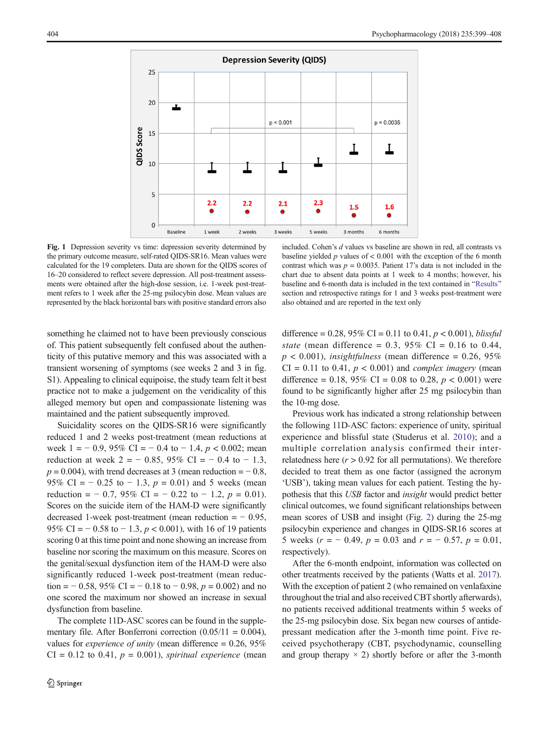<span id="page-5-0"></span>

Fig. 1 Depression severity vs time: depression severity determined by the primary outcome measure, self-rated QIDS-SR16. Mean values were calculated for the 19 completers. Data are shown for the QIDS scores of 16–20 considered to reflect severe depression. All post-treatment assessments were obtained after the high-dose session, i.e. 1-week post-treatment refers to 1 week after the 25-mg psilocybin dose. Mean values are represented by the black horizontal bars with positive standard errors also

something he claimed not to have been previously conscious of. This patient subsequently felt confused about the authenticity of this putative memory and this was associated with a transient worsening of symptoms (see weeks 2 and 3 in fig. S1). Appealing to clinical equipoise, the study team felt it best practice not to make a judgement on the veridicality of this alleged memory but open and compassionate listening was maintained and the patient subsequently improved.

Suicidality scores on the QIDS-SR16 were significantly reduced 1 and 2 weeks post-treatment (mean reductions at week 1 =  $-$  0.9, 95% CI =  $-$  0.4 to  $-$  1.4,  $p < 0.002$ ; mean reduction at week  $2 = -0.85$ , 95% CI =  $-0.4$  to  $-1.3$ ,  $p = 0.004$ ), with trend decreases at 3 (mean reduction =  $-0.8$ , 95% CI =  $-0.25$  to  $-1.3$ ,  $p = 0.01$ ) and 5 weeks (mean reduction =  $-$  0.7, 95% CI =  $-$  0.22 to  $-$  1.2,  $p = 0.01$ ). Scores on the suicide item of the HAM-D were significantly decreased 1-week post-treatment (mean reduction =  $-$  0.95, 95% CI =  $-0.58$  to  $-1.3$ ,  $p < 0.001$ ), with 16 of 19 patients scoring 0 at this time point and none showing an increase from baseline nor scoring the maximum on this measure. Scores on the genital/sexual dysfunction item of the HAM-D were also significantly reduced 1-week post-treatment (mean reduction =  $-$  0.58, 95% CI =  $-$  0.18 to  $-$  0.98,  $p = 0.002$ ) and no one scored the maximum nor showed an increase in sexual dysfunction from baseline.

The complete 11D-ASC scores can be found in the supplementary file. After Bonferroni correction  $(0.05/11 = 0.004)$ , values for *experience of unity* (mean difference  $= 0.26, 95\%$  $CI = 0.12$  to 0.41,  $p = 0.001$ ), spiritual experience (mean

included. Cohen's d values vs baseline are shown in red, all contrasts vs baseline yielded  $p$  values of  $< 0.001$  with the exception of the 6 month contrast which was  $p = 0.0035$ . Patient 17's data is not included in the chart due to absent data points at 1 week to 4 months; however, his baseline and 6-month data is included in the text contained in "[Results](#page-4-0)" section and retrospective ratings for 1 and 3 weeks post-treatment were also obtained and are reported in the text only

difference = 0.28, 95% CI = 0.11 to 0.41,  $p < 0.001$ ), *blissful* state (mean difference = 0.3, 95% CI = 0.16 to 0.44,  $p < 0.001$ ), insightfulness (mean difference = 0.26, 95%)  $CI = 0.11$  to 0.41,  $p < 0.001$ ) and *complex imagery* (mean difference = 0.18, 95% CI = 0.08 to 0.28,  $p < 0.001$ ) were found to be significantly higher after 25 mg psilocybin than the 10-mg dose.

Previous work has indicated a strong relationship between the following 11D-ASC factors: experience of unity, spiritual experience and blissful state (Studerus et al. [2010\)](#page-9-0); and a multiple correlation analysis confirmed their interrelatedness here  $(r > 0.92$  for all permutations). We therefore decided to treat them as one factor (assigned the acronym 'USB'), taking mean values for each patient. Testing the hypothesis that this USB factor and insight would predict better clinical outcomes, we found significant relationships between mean scores of USB and insight (Fig. [2\)](#page-7-0) during the 25-mg psilocybin experience and changes in QIDS-SR16 scores at 5 weeks  $(r = -0.49, p = 0.03$  and  $r = -0.57, p = 0.01$ , respectively).

After the 6-month endpoint, information was collected on other treatments received by the patients (Watts et al. [2017\)](#page-9-0). With the exception of patient 2 (who remained on venlafaxine throughout the trial and also received CBT shortly afterwards), no patients received additional treatments within 5 weeks of the 25-mg psilocybin dose. Six began new courses of antidepressant medication after the 3-month time point. Five received psychotherapy (CBT, psychodynamic, counselling and group therapy  $\times$  2) shortly before or after the 3-month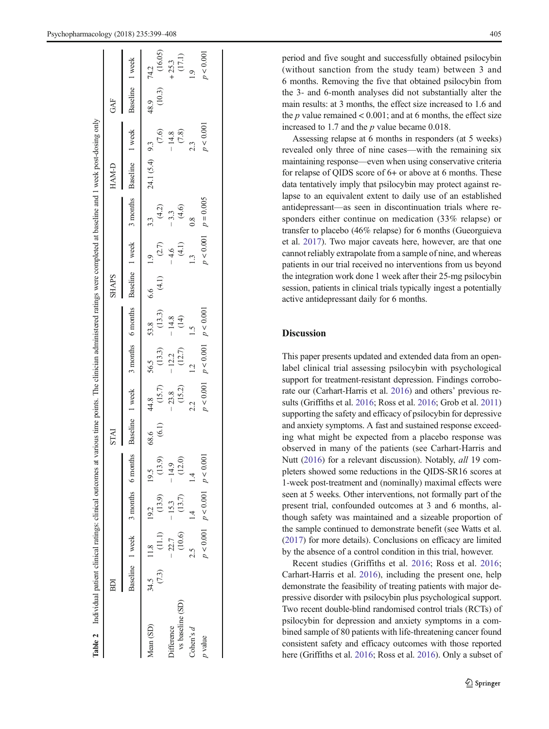<span id="page-6-0"></span>

|                                       | BDI |                   |                                                           |                   | <b>INTS</b>   |                   |                                     |                  | <b>SHAPS</b> |                 |                 | HAM-D                                                                                      |                    | GAF            |                   |
|---------------------------------------|-----|-------------------|-----------------------------------------------------------|-------------------|---------------|-------------------|-------------------------------------|------------------|--------------|-----------------|-----------------|--------------------------------------------------------------------------------------------|--------------------|----------------|-------------------|
|                                       |     |                   | Baseline 1 week 3 months 6 months                         |                   |               |                   |                                     |                  |              |                 |                 | Baseline I week 3 months 6 months Baseline I week 3 months Baseline I week Baseline I week |                    |                |                   |
| Mean (SD)                             |     |                   | $(7.3)$ $(11.1)$ $(13.9)$ $(13.9)$<br>34.5 11.8 19.2 19.5 |                   | 68.6<br>(6.1) | $44.8$<br>(15.7)  | $\frac{56.5}{(13.3)}$               | $53.8$<br>(13.3) | $6.6$ 1.9    | $(4.1)$ $(2.7)$ | 3.3<br>(4.2)    | $24.1(5.4)$ 9.3                                                                            | $(7.6)$            | (10.3)<br>48.9 | (16.05)<br>74.2   |
| vs baseline (SD)<br><b>Difference</b> |     | (10.6)<br>$-22.7$ | (13.7)<br>$-15.3$                                         | $-14.9$<br>(12.0) |               | $-23.8$<br>(15.2) | $-12.2$<br>(12.7)                   | $-14.8$<br>(14)  |              | (4.1)<br>$-4.6$ | $-3.3$<br>(4.6) |                                                                                            | $(7.8)$<br>$-14.8$ |                | $+25.3$<br>(17.1) |
| Cohen's $d$                           |     | 2.5               |                                                           |                   |               | 2.2               | 1.2                                 |                  |              |                 | $\frac{8}{6}$   |                                                                                            | 2.3                |                |                   |
| p value                               |     |                   | $p < 0.001$ $p < 0.001$ $p < 0.00$                        |                   |               |                   | $p < 0.001$ $p < 0.001$ $p < 0.001$ |                  |              | p < 0.001       | $p = 0.005$     |                                                                                            | p < 0.001          |                | p < 0.001         |

period and five sought and successfully obtained psilocybin (without sanction from the study team) between 3 and 6 months. Removing the five that obtained psilocybin from the 3- and 6-month analyses did not substantially alter the main results: at 3 months, the effect size increased to 1.6 and the p value remained  $< 0.001$ ; and at 6 months, the effect size increased to 1.7 and the p value became 0.018.

Assessing relapse at 6 months in responders (at 5 weeks) revealed only three of nine cases—with the remaining six maintaining response—even when using conservative criteria for relapse of QIDS score of 6+ or above at 6 months. These data tentatively imply that psilocybin may protect against relapse to an equivalent extent to daily use of an established antidepressant—as seen in discontinuation trials where responders either continue on medication (33% relapse) or transfer to placebo (46% relapse) for 6 months (Gueorguieva et al. [2017\)](#page-8-0). Two major caveats here, however, are that one cannot reliably extrapolate from a sample of nine, and whereas patients in our trial received no interventions from us beyond the integration work done 1 week after their 25-mg psilocybin session, patients in clinical trials typically ingest a potentially active antidepressant daily for 6 months.

# Discussion

This paper presents updated and extended data from an openlabel clinical trial assessing psilocybin with psychological support for treatment-resistant depression. Findings corroborate our (Carhart-Harris et al. [2016\)](#page-8-0) and others' previous results (Griffiths et al. [2016;](#page-8-0) Ross et al. [2016;](#page-9-0) Grob et al. [2011](#page-8-0)) supporting the safety and efficacy of psilocybin for depressive and anxiety symptoms. A fast and sustained response exceeding what might be expected from a placebo response was observed in many of the patients (see Carhart-Harris and Nutt ([2016](#page-8-0)) for a relevant discussion). Notably, all 19 completers showed some reductions in the QIDS-SR16 scores at 1-week post-treatment and (nominally) maximal effects were seen at 5 weeks. Other interventions, not formally part of the present trial, confounded outcomes at 3 and 6 months, although safety was maintained and a sizeable proportion of the sample continued to demonstrate benefit (see Watts et al. [\(2017\)](#page-9-0) for more details). Conclusions on efficacy are limited by the absence of a control condition in this trial, however.

Recent studies (Griffiths et al. [2016;](#page-8-0) Ross et al. [2016;](#page-9-0) Carhart-Harris et al. [2016\)](#page-8-0), including the present one, help demonstrate the feasibility of treating patients with major depressive disorder with psilocybin plus psychological support. Two recent double-blind randomised control trials (RCTs) of psilocybin for depression and anxiety symptoms in a combined sample of 80 patients with life-threatening cancer found consistent safety and efficacy outcomes with those reported here (Griffiths et al. [2016;](#page-8-0) Ross et al. [2016](#page-9-0)). Only a subset of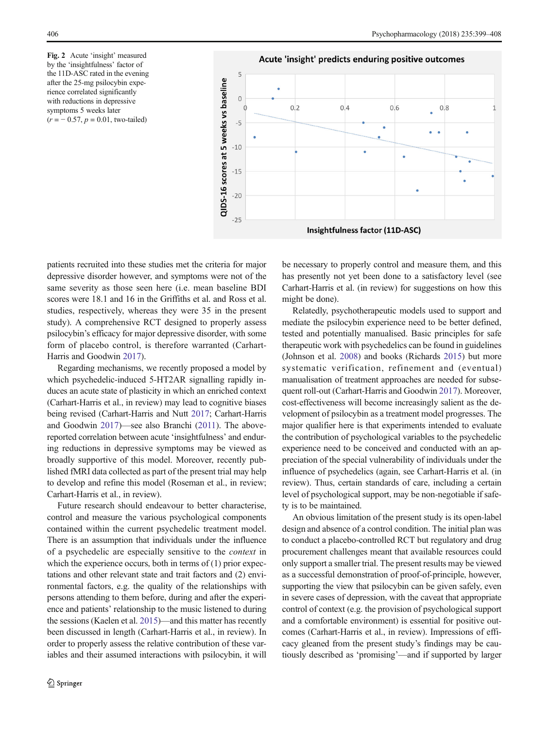<span id="page-7-0"></span>Fig. 2 Acute 'insight' measured by the 'insightfulness' factor of the 11D-ASC rated in the evening after the 25-mg psilocybin experience correlated significantly with reductions in depressive symptoms 5 weeks later  $(r = -0.57, p = 0.01,$  two-tailed)



patients recruited into these studies met the criteria for major depressive disorder however, and symptoms were not of the same severity as those seen here (i.e. mean baseline BDI scores were 18.1 and 16 in the Griffiths et al. and Ross et al. studies, respectively, whereas they were 35 in the present study). A comprehensive RCT designed to properly assess psilocybin's efficacy for major depressive disorder, with some form of placebo control, is therefore warranted (Carhart-Harris and Goodwin [2017\)](#page-8-0).

Regarding mechanisms, we recently proposed a model by which psychedelic-induced 5-HT2AR signalling rapidly induces an acute state of plasticity in which an enriched context (Carhart-Harris et al., in review) may lead to cognitive biases being revised (Carhart-Harris and Nutt [2017](#page-8-0); Carhart-Harris and Goodwin [2017\)](#page-8-0)—see also Branchi ([2011](#page-8-0)). The abovereported correlation between acute 'insightfulness' and enduring reductions in depressive symptoms may be viewed as broadly supportive of this model. Moreover, recently published fMRI data collected as part of the present trial may help to develop and refine this model (Roseman et al., in review; Carhart-Harris et al., in review).

Future research should endeavour to better characterise, control and measure the various psychological components contained within the current psychedelic treatment model. There is an assumption that individuals under the influence of a psychedelic are especially sensitive to the context in which the experience occurs, both in terms of (1) prior expectations and other relevant state and trait factors and (2) environmental factors, e.g. the quality of the relationships with persons attending to them before, during and after the experience and patients' relationship to the music listened to during the sessions (Kaelen et al. [2015](#page-9-0))—and this matter has recently been discussed in length (Carhart-Harris et al., in review). In order to properly assess the relative contribution of these variables and their assumed interactions with psilocybin, it will be necessary to properly control and measure them, and this has presently not yet been done to a satisfactory level (see Carhart-Harris et al. (in review) for suggestions on how this might be done).

Relatedly, psychotherapeutic models used to support and mediate the psilocybin experience need to be better defined, tested and potentially manualised. Basic principles for safe therapeutic work with psychedelics can be found in guidelines (Johnson et al. [2008](#page-8-0)) and books (Richards [2015](#page-9-0)) but more systematic verification, refinement and (eventual) manualisation of treatment approaches are needed for subsequent roll-out (Carhart-Harris and Goodwin [2017](#page-8-0)). Moreover, cost-effectiveness will become increasingly salient as the development of psilocybin as a treatment model progresses. The major qualifier here is that experiments intended to evaluate the contribution of psychological variables to the psychedelic experience need to be conceived and conducted with an appreciation of the special vulnerability of individuals under the influence of psychedelics (again, see Carhart-Harris et al. (in review). Thus, certain standards of care, including a certain level of psychological support, may be non-negotiable if safety is to be maintained.

An obvious limitation of the present study is its open-label design and absence of a control condition. The initial plan was to conduct a placebo-controlled RCT but regulatory and drug procurement challenges meant that available resources could only support a smaller trial. The present results may be viewed as a successful demonstration of proof-of-principle, however, supporting the view that psilocybin can be given safely, even in severe cases of depression, with the caveat that appropriate control of context (e.g. the provision of psychological support and a comfortable environment) is essential for positive outcomes (Carhart-Harris et al., in review). Impressions of efficacy gleaned from the present study's findings may be cautiously described as 'promising'—and if supported by larger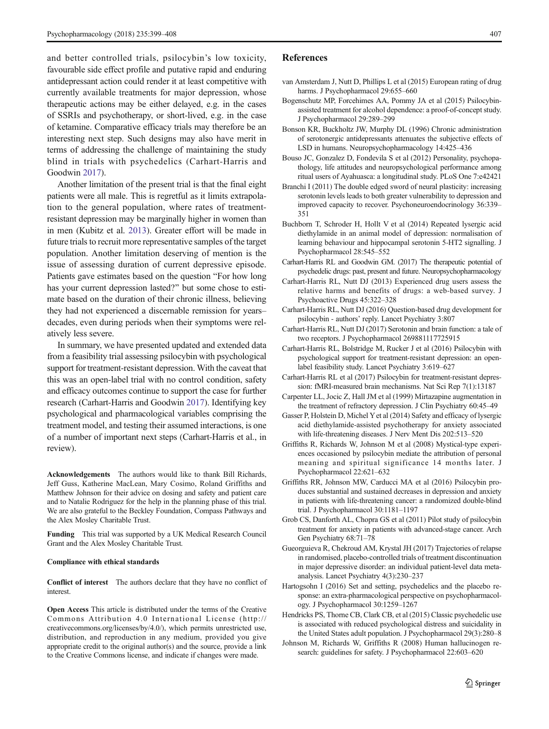<span id="page-8-0"></span>and better controlled trials, psilocybin's low toxicity, favourable side effect profile and putative rapid and enduring antidepressant action could render it at least competitive with currently available treatments for major depression, whose therapeutic actions may be either delayed, e.g. in the cases of SSRIs and psychotherapy, or short-lived, e.g. in the case of ketamine. Comparative efficacy trials may therefore be an interesting next step. Such designs may also have merit in terms of addressing the challenge of maintaining the study blind in trials with psychedelics (Carhart-Harris and Goodwin 2017).

Another limitation of the present trial is that the final eight patients were all male. This is regretful as it limits extrapolation to the general population, where rates of treatmentresistant depression may be marginally higher in women than in men (Kubitz et al. [2013\)](#page-9-0). Greater effort will be made in future trials to recruit more representative samples of the target population. Another limitation deserving of mention is the issue of assessing duration of current depressive episode. Patients gave estimates based on the question "For how long" has your current depression lasted?" but some chose to estimate based on the duration of their chronic illness, believing they had not experienced a discernable remission for years– decades, even during periods when their symptoms were relatively less severe.

In summary, we have presented updated and extended data from a feasibility trial assessing psilocybin with psychological support for treatment-resistant depression. With the caveat that this was an open-label trial with no control condition, safety and efficacy outcomes continue to support the case for further research (Carhart-Harris and Goodwin 2017). Identifying key psychological and pharmacological variables comprising the treatment model, and testing their assumed interactions, is one of a number of important next steps (Carhart-Harris et al., in review).

Acknowledgements The authors would like to thank Bill Richards, Jeff Guss, Katherine MacLean, Mary Cosimo, Roland Griffiths and Matthew Johnson for their advice on dosing and safety and patient care and to Natalie Rodriguez for the help in the planning phase of this trial. We are also grateful to the Beckley Foundation, Compass Pathways and the Alex Mosley Charitable Trust.

Funding This trial was supported by a UK Medical Research Council Grant and the Alex Mosley Charitable Trust.

#### Compliance with ethical standards

Conflict of interest The authors declare that they have no conflict of interest.

Open Access This article is distributed under the terms of the Creative Commons Attribution 4.0 International License (http:// creativecommons.org/licenses/by/4.0/), which permits unrestricted use, distribution, and reproduction in any medium, provided you give appropriate credit to the original author(s) and the source, provide a link to the Creative Commons license, and indicate if changes were made.

## References

- van Amsterdam J, Nutt D, Phillips L et al (2015) European rating of drug harms. J Psychopharmacol 29:655–660
- Bogenschutz MP, Forcehimes AA, Pommy JA et al (2015) Psilocybinassisted treatment for alcohol dependence: a proof-of-concept study. J Psychopharmacol 29:289–299
- Bonson KR, Buckholtz JW, Murphy DL (1996) Chronic administration of serotonergic antidepressants attenuates the subjective effects of LSD in humans. Neuropsychopharmacology 14:425–436
- Bouso JC, Gonzalez D, Fondevila S et al (2012) Personality, psychopathology, life attitudes and neuropsychological performance among ritual users of Ayahuasca: a longitudinal study. PLoS One 7:e42421
- Branchi I (2011) The double edged sword of neural plasticity: increasing serotonin levels leads to both greater vulnerability to depression and improved capacity to recover. Psychoneuroendocrinology 36:339– 351
- Buchborn T, Schroder H, Hollt V et al (2014) Repeated lysergic acid diethylamide in an animal model of depression: normalisation of learning behaviour and hippocampal serotonin 5-HT2 signalling. J Psychopharmacol 28:545–552
- Carhart-Harris RL and Goodwin GM. (2017) The therapeutic potential of psychedelic drugs: past, present and future. Neuropsychopharmacology
- Carhart-Harris RL, Nutt DJ (2013) Experienced drug users assess the relative harms and benefits of drugs: a web-based survey. J Psychoactive Drugs 45:322–328
- Carhart-Harris RL, Nutt DJ (2016) Question-based drug development for psilocybin - authors' reply. Lancet Psychiatry 3:807
- Carhart-Harris RL, Nutt DJ (2017) Serotonin and brain function: a tale of two receptors. J Psychopharmacol 269881117725915
- Carhart-Harris RL, Bolstridge M, Rucker J et al (2016) Psilocybin with psychological support for treatment-resistant depression: an openlabel feasibility study. Lancet Psychiatry 3:619–627
- Carhart-Harris RL et al (2017) Psilocybin for treatment-resistant depression: fMRI-measured brain mechanisms. Nat Sci Rep 7(1):13187
- Carpenter LL, Jocic Z, Hall JM et al (1999) Mirtazapine augmentation in the treatment of refractory depression. J Clin Psychiatry 60:45–49
- Gasser P, Holstein D, Michel Yet al (2014) Safety and efficacy of lysergic acid diethylamide-assisted psychotherapy for anxiety associated with life-threatening diseases. J Nerv Ment Dis 202:513–520
- Griffiths R, Richards W, Johnson M et al (2008) Mystical-type experiences occasioned by psilocybin mediate the attribution of personal meaning and spiritual significance 14 months later. J Psychopharmacol 22:621–632
- Griffiths RR, Johnson MW, Carducci MA et al (2016) Psilocybin produces substantial and sustained decreases in depression and anxiety in patients with life-threatening cancer: a randomized double-blind trial. J Psychopharmacol 30:1181–1197
- Grob CS, Danforth AL, Chopra GS et al (2011) Pilot study of psilocybin treatment for anxiety in patients with advanced-stage cancer. Arch Gen Psychiatry 68:71–78
- Gueorguieva R, Chekroud AM, Krystal JH (2017) Trajectories of relapse in randomised, placebo-controlled trials of treatment discontinuation in major depressive disorder: an individual patient-level data metaanalysis. Lancet Psychiatry 4(3):230–237
- Hartogsohn I (2016) Set and setting, psychedelics and the placebo response: an extra-pharmacological perspective on psychopharmacology. J Psychopharmacol 30:1259–1267
- Hendricks PS, Thorne CB, Clark CB, et al (2015) Classic psychedelic use is associated with reduced psychological distress and suicidality in the United States adult population. J Psychopharmacol 29(3):280–8
- Johnson M, Richards W, Griffiths R (2008) Human hallucinogen research: guidelines for safety. J Psychopharmacol 22:603–620